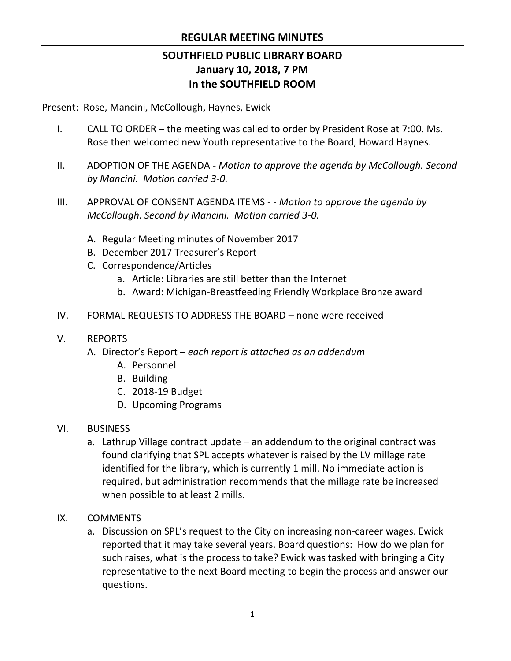### **REGULAR MEETING MINUTES**

# **SOUTHFIELD PUBLIC LIBRARY BOARD January 10, 2018, 7 PM In the SOUTHFIELD ROOM**

Present: Rose, Mancini, McCollough, Haynes, Ewick

- I. CALL TO ORDER the meeting was called to order by President Rose at 7:00. Ms. Rose then welcomed new Youth representative to the Board, Howard Haynes.
- II. ADOPTION OF THE AGENDA *Motion to approve the agenda by McCollough. Second by Mancini. Motion carried 3-0.*
- III. APPROVAL OF CONSENT AGENDA ITEMS - *Motion to approve the agenda by McCollough. Second by Mancini. Motion carried 3-0.*
	- A. Regular Meeting minutes of November 2017
	- B. December 2017 Treasurer's Report
	- C. Correspondence/Articles
		- a. Article: Libraries are still better than the Internet
		- b. Award: Michigan-Breastfeeding Friendly Workplace Bronze award
- IV. FORMAL REQUESTS TO ADDRESS THE BOARD none were received
- V. REPORTS
	- A. Director's Report *– each report is attached as an addendum*
		- A. Personnel
		- B. Building
		- C. 2018-19 Budget
		- D. Upcoming Programs
- VI. BUSINESS
	- a. Lathrup Village contract update an addendum to the original contract was found clarifying that SPL accepts whatever is raised by the LV millage rate identified for the library, which is currently 1 mill. No immediate action is required, but administration recommends that the millage rate be increased when possible to at least 2 mills.
- IX. COMMENTS
	- a. Discussion on SPL's request to the City on increasing non-career wages. Ewick reported that it may take several years. Board questions: How do we plan for such raises, what is the process to take? Ewick was tasked with bringing a City representative to the next Board meeting to begin the process and answer our questions.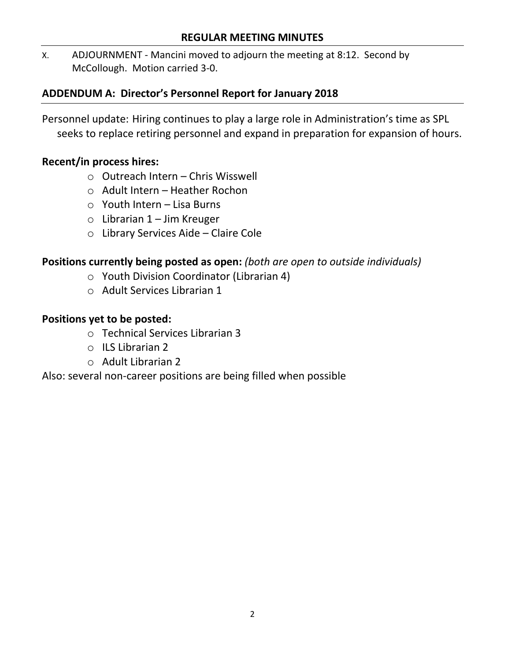#### **REGULAR MEETING MINUTES**

X. ADJOURNMENT - Mancini moved to adjourn the meeting at 8:12. Second by McCollough. Motion carried 3-0.

# **ADDENDUM A: Director's Personnel Report for January 2018**

Personnel update: Hiring continues to play a large role in Administration's time as SPL seeks to replace retiring personnel and expand in preparation for expansion of hours.

## **Recent/in process hires:**

- o Outreach Intern Chris Wisswell
- o Adult Intern Heather Rochon
- o Youth Intern Lisa Burns
- $\circ$  Librarian 1 Jim Kreuger
- o Library Services Aide Claire Cole

## **Positions currently being posted as open:** *(both are open to outside individuals)*

- o Youth Division Coordinator (Librarian 4)
- o Adult Services Librarian 1

## **Positions yet to be posted:**

- o Technical Services Librarian 3
- o ILS Librarian 2
- o Adult Librarian 2

Also: several non-career positions are being filled when possible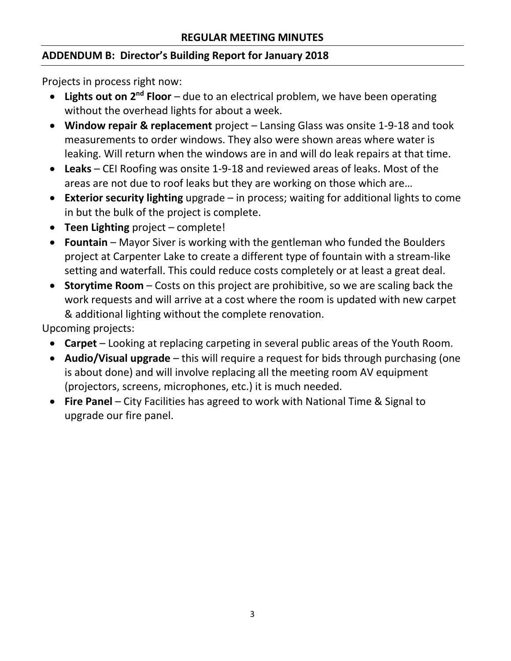# **ADDENDUM B: Director's Building Report for January 2018**

Projects in process right now:

- **Lights out on 2nd Floor**  due to an electrical problem, we have been operating without the overhead lights for about a week.
- **Window repair & replacement** project Lansing Glass was onsite 1-9-18 and took measurements to order windows. They also were shown areas where water is leaking. Will return when the windows are in and will do leak repairs at that time.
- **Leaks** CEI Roofing was onsite 1-9-18 and reviewed areas of leaks. Most of the areas are not due to roof leaks but they are working on those which are…
- **Exterior security lighting** upgrade in process; waiting for additional lights to come in but the bulk of the project is complete.
- **Teen Lighting** project complete!
- **Fountain** Mayor Siver is working with the gentleman who funded the Boulders project at Carpenter Lake to create a different type of fountain with a stream-like setting and waterfall. This could reduce costs completely or at least a great deal.
- **Storytime Room**  Costs on this project are prohibitive, so we are scaling back the work requests and will arrive at a cost where the room is updated with new carpet & additional lighting without the complete renovation.

Upcoming projects:

- **Carpet**  Looking at replacing carpeting in several public areas of the Youth Room.
- **Audio/Visual upgrade**  this will require a request for bids through purchasing (one is about done) and will involve replacing all the meeting room AV equipment (projectors, screens, microphones, etc.) it is much needed.
- **Fire Panel** City Facilities has agreed to work with National Time & Signal to upgrade our fire panel.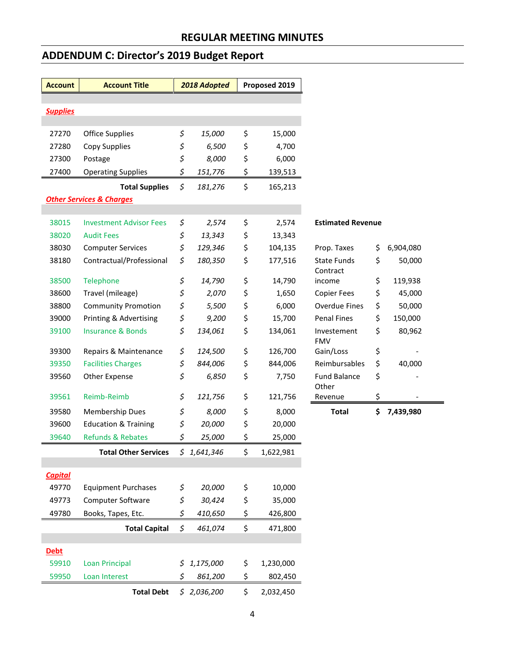## **ADDENDUM C: Director's 2019 Budget Report**

| <b>Account</b>                      | <b>Account Title</b>            | 2018 Adopted |             | Proposed 2019 |           |                           |                 |
|-------------------------------------|---------------------------------|--------------|-------------|---------------|-----------|---------------------------|-----------------|
|                                     |                                 |              |             |               |           |                           |                 |
| <b>Supplies</b>                     |                                 |              |             |               |           |                           |                 |
| 27270                               | <b>Office Supplies</b>          | \$           | 15,000      | \$            | 15,000    |                           |                 |
| 27280                               | Copy Supplies                   | \$           | 6,500       | \$            | 4,700     |                           |                 |
| 27300                               | Postage                         | \$           | 8,000       | \$            | 6,000     |                           |                 |
| 27400                               | <b>Operating Supplies</b>       | \$           | 151,776     | \$            | 139,513   |                           |                 |
|                                     | <b>Total Supplies</b>           | \$           | 181,276     | \$            | 165,213   |                           |                 |
| <b>Other Services &amp; Charges</b> |                                 |              |             |               |           |                           |                 |
| 38015                               | <b>Investment Advisor Fees</b>  | \$           | 2,574       | \$            | 2,574     | <b>Estimated Revenue</b>  |                 |
| 38020                               | <b>Audit Fees</b>               | \$           | 13,343      | \$            | 13,343    |                           |                 |
| 38030                               | <b>Computer Services</b>        | \$           | 129,346     | \$            | 104,135   | Prop. Taxes               | \$<br>6,904,080 |
| 38180                               | Contractual/Professional        | \$           | 180,350     | \$            | 177,516   | <b>State Funds</b>        | \$<br>50,000    |
|                                     |                                 |              |             |               |           | Contract                  |                 |
| 38500                               | Telephone                       | \$           | 14,790      | \$            | 14,790    | income                    | \$<br>119,938   |
| 38600                               | Travel (mileage)                | \$           | 2,070       | \$            | 1,650     | <b>Copier Fees</b>        | \$<br>45,000    |
| 38800                               | <b>Community Promotion</b>      | \$           | 5,500       | \$            | 6,000     | <b>Overdue Fines</b>      | \$<br>50,000    |
| 39000                               | Printing & Advertising          | \$           | 9,200       | \$            | 15,700    | <b>Penal Fines</b>        | \$<br>150,000   |
| 39100                               | <b>Insurance &amp; Bonds</b>    | \$           | 134,061     | \$            | 134,061   | Investement<br><b>FMV</b> | \$<br>80,962    |
| 39300                               | Repairs & Maintenance           | \$           | 124,500     | \$            | 126,700   | Gain/Loss                 | \$              |
| 39350                               | <b>Facilities Charges</b>       | \$           | 844,006     | \$            | 844,006   | Reimbursables             | \$<br>40,000    |
| 39560                               | Other Expense                   | \$           | 6,850       | \$            | 7,750     | <b>Fund Balance</b>       | \$              |
| 39561                               | Reimb-Reimb                     | \$           | 121,756     | \$            | 121,756   | Other<br>Revenue          | \$              |
| 39580                               | Membership Dues                 | \$           | 8,000       | \$            | 8,000     | <b>Total</b>              | \$<br>7,439,980 |
| 39600                               | <b>Education &amp; Training</b> | \$           | 20,000      | \$            | 20,000    |                           |                 |
| 39640                               | <b>Refunds &amp; Rebates</b>    | \$           | 25,000      | \$            | 25,000    |                           |                 |
|                                     |                                 |              |             |               |           |                           |                 |
|                                     | <b>Total Other Services</b>     |              | \$1,641,346 | Ş             | 1,622,981 |                           |                 |
| <b>Capital</b>                      |                                 |              |             |               |           |                           |                 |
| 49770                               | <b>Equipment Purchases</b>      | \$           | 20,000      | \$            | 10,000    |                           |                 |
| 49773                               | Computer Software               | \$           | 30,424      | \$            | 35,000    |                           |                 |
| 49780                               | Books, Tapes, Etc.              | \$           | 410,650     | \$            | 426,800   |                           |                 |
|                                     | <b>Total Capital</b>            | \$           | 461,074     | \$            | 471,800   |                           |                 |
| <b>Debt</b>                         |                                 |              |             |               |           |                           |                 |
| 59910                               | <b>Loan Principal</b>           | \$           | 1,175,000   | \$            | 1,230,000 |                           |                 |
| 59950                               | Loan Interest                   | \$           | 861,200     | \$            | 802,450   |                           |                 |
|                                     | <b>Total Debt</b>               |              | \$2,036,200 | \$            | 2,032,450 |                           |                 |